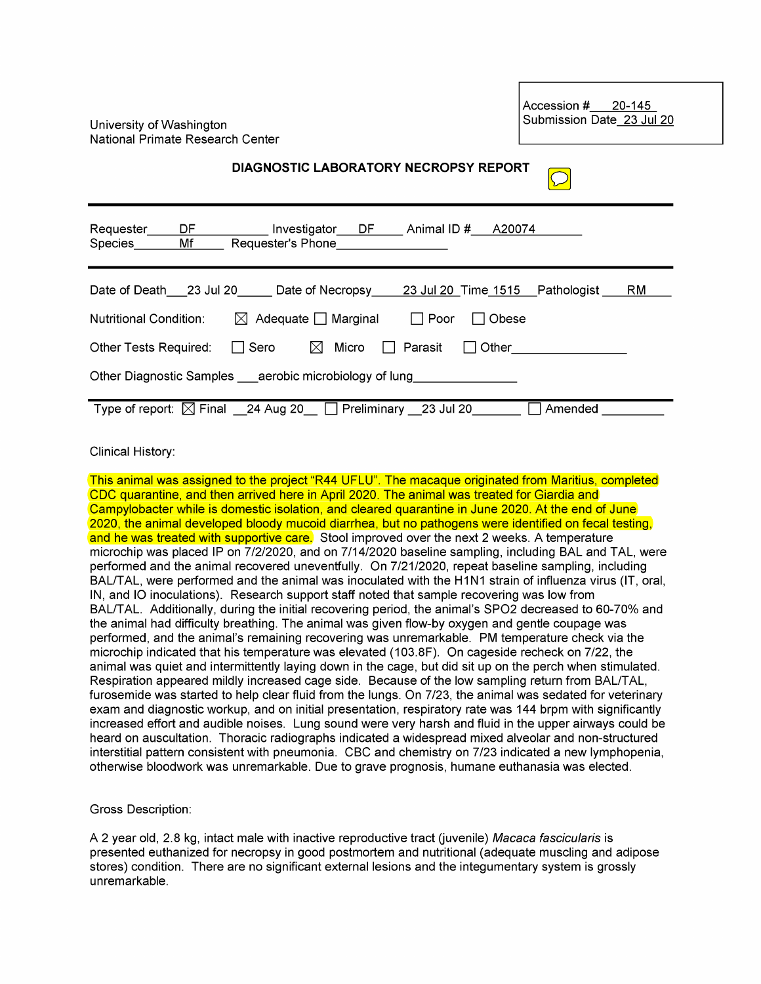University of Washington National Primate Research Center Accession #20-145<br>Submission Date 23 Jul 20

| DIAGNOSTIC LABORATORY NECROPSY REPORT                                                                       |
|-------------------------------------------------------------------------------------------------------------|
| Requester_____DF______________Investigator___DF______ Animal ID #____A20074<br>Species Mf Requester's Phone |
| Date of Death 23 Jul 20 Date of Necropsy 23 Jul 20 Time 1515 Pathologist<br>RM                              |
| Nutritional Condition:<br>$\boxtimes$ Adequate Marginal $\Box$ Poor<br>Obese                                |
| Other Tests Required: $\Box$ Sero $\boxtimes$ Micro $\Box$ Parasit<br>Other ___________________<br>$\perp$  |
| Other Diagnostic Samples aerobic microbiology of lung                                                       |
| Type of report: $\boxtimes$ Final 24 Aug 20 $\Box$ Preliminary 23 Jul 20<br>Amended                         |

## Clinical History:

This animal was assigned to the project "R44 UFLU". The macaque originated from Maritius, completed CDC quarantine, and then arrived here in April 2020. The animal was treated for Giardia and Campylobacter while is domestic isolation, and cleared quarantine in June 2020. At the end of June 2020, the animal developed bloody mucoid diarrhea, but no pathogens were identified on fecal testing, and he was treated with supportive care. Stool improved over the next 2 weeks. A temperature microchip was placed IP on 7/2/2020, and on 7/14/2020 baseline sampling, including BAL and TAL, were performed and the animal recovered uneventfully. On 7/21/2020, repeat baseline sampling, including BAL/TAL, were performed and the animal was inoculated with the H1N1 strain of influenza virus (IT, oral, IN, and 10 inoculations). Research support staff noted that sample recovering was low from BAL/TAL. Additionally, during the initial recovering period, the animal's SP02 decreased to 60-70% and the animal had difficulty breathing. The animal was given flow-by oxygen and gentle coupage was performed, and the animal's remaining recovering was unremarkable. PM temperature check via the microchip indicated that his temperature was elevated (103.8F). On cageside recheck on 7/22, the animal was quiet and intermittently laying down in the cage, but did sit up on the perch when stimulated. Respiration appeared mildly increased cage side. Because of the low sampling return from BAL/TAL, furosemide was started to help clear fluid from the lungs. On 7/23, the animal was sedated for veterinary exam and diagnostic workup, and on initial presentation, respiratory rate was 144 brpm with significantly increased effort and audible noises. Lung sound were very harsh and fluid in the upper airways could be heard on auscultation. Thoracic radiographs indicated a widespread mixed alveolar and non-structured interstitial pattern consistent with pneumonia. CBC and chemistry on 7/23 indicated a new lymphopenia, otherwise bloodwork was unremarkable. Due to grave prognosis, humane euthanasia was elected.

## Gross Description:

A 2 year old, 2.8 kg, intact male with inactive reproductive tract (juvenile) Macaca fascicularis is presented euthanized for necropsy in good postmortem and nutritional (adequate muscling and adipose stores) condition. There are no significant external lesions and the integumentary system is grossly unremarkable.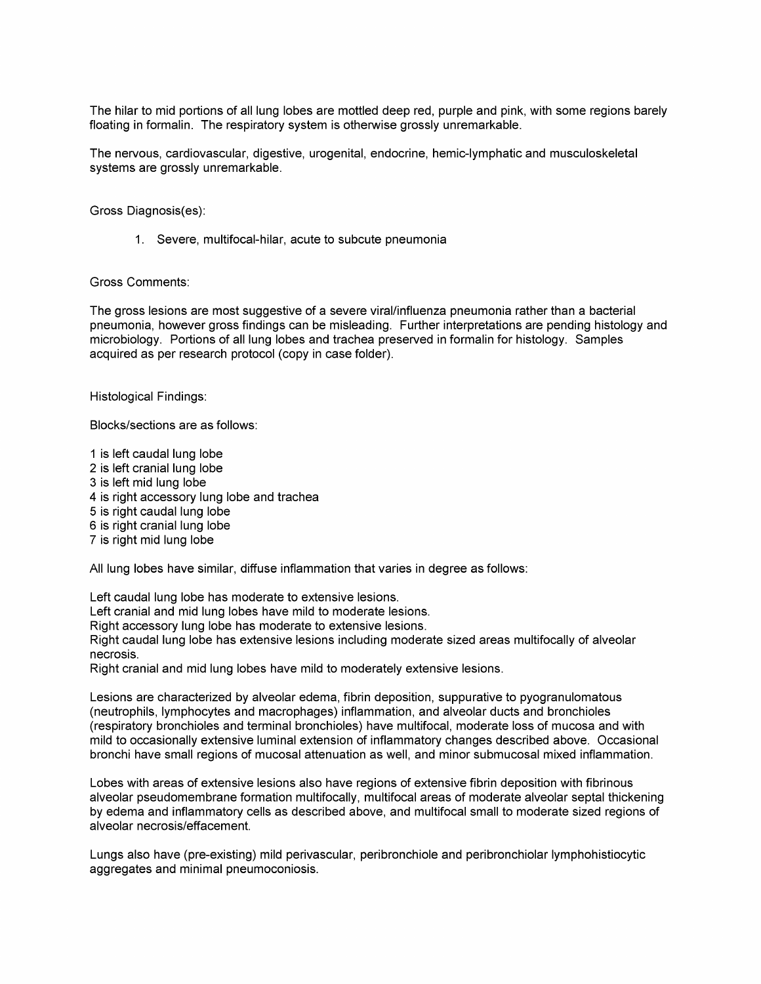The hilar to mid portions of all lung lobes are mottled deep red, purple and pink, with some regions barely floating in formalin. The respiratory system is otherwise grossly unremarkable.

The nervous, cardiovascular, digestive, urogenital, endocrine, hemic-lymphatic and musculoskeletal systems are grossly unremarkable.

Gross Diagnosis(es):

1. Severe, multifocal-hilar, acute to subcute pneumonia

## Gross Comments:

The gross lesions are most suggestive of a severe viral/influenza pneumonia rather than a bacterial pneumonia, however gross findings can be misleading. Further interpretations are pending histology and microbiology. Portions of all lung lobes and trachea preserved in formalin for histology. Samples acquired as per research protocol (copy in case folder).

Histological Findings:

Blocks/sections are as follows:

1 is left caudal lung lobe 2 is left cranial lung lobe 3 is left mid lung lobe 4 is right accessory lung lobe and trachea 5 is right caudal lung lobe 6 is right cranial lung lobe 7 is right mid lung lobe

All lung lobes have similar, diffuse inflammation that varies in degree as follows:

Left caudal lung lobe has moderate to extensive lesions.

Left cranial and mid lung lobes have mild to moderate lesions.

Right accessory lung lobe has moderate to extensive lesions.

Right caudal lung lobe has extensive lesions including moderate sized areas multifocally of alveolar necrosis.

Right cranial and mid lung lobes have mild to moderately extensive lesions.

Lesions are characterized by alveolar edema, fibrin deposition, suppurative to pyogranulomatous (neutrophils, lymphocytes and macrophages) inflammation, and alveolar ducts and bronchioles (respiratory bronchioles and terminal bronchioles) have multifocal, moderate loss of mucosa and with mild to occasionally extensive luminal extension of inflammatory changes described above. Occasional bronchi have small regions of mucosal attenuation as well, and minor submucosal mixed inflammation.

Lobes with areas of extensive lesions also have regions of extensive fibrin deposition with fibrinous alveolar pseudomembrane formation multifocally, multifocal areas of moderate alveolar septal thickening by edema and inflammatory cells as described above, and multifocal small to moderate sized regions of alveolar necrosis/effacement.

Lungs also have (pre-existing) mild perivascular, peribronchiole and peribronchiolar lymphohistiocytic aggregates and minimal pneumoconiosis.